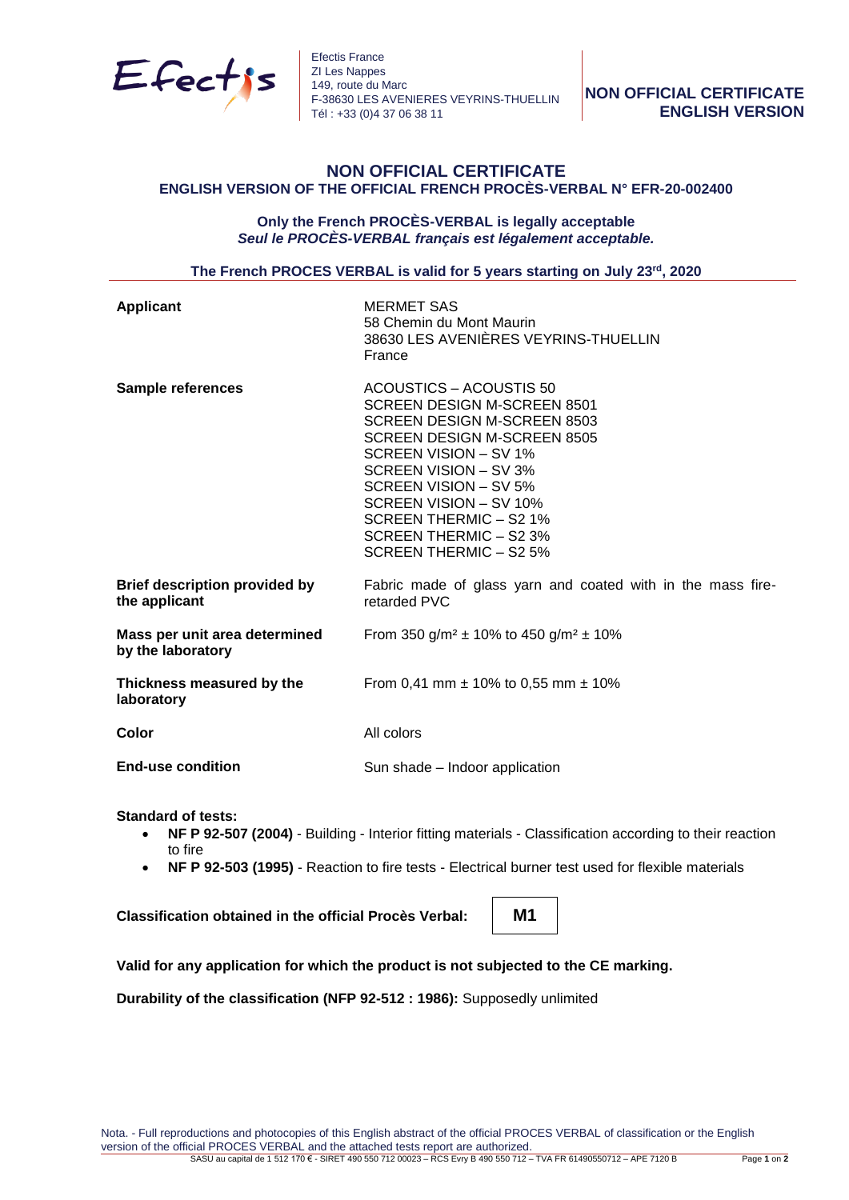

Efectis France ZI Les Nappes 149, route du Marc F-38630 LES AVENIERES VEYRINS-THUELLIN Tél : +33 (0)4 37 06 38 11

## **NON OFFICIAL CERTIFICATE ENGLISH VERSION OF THE OFFICIAL FRENCH PROCÈS-VERBAL N° EFR-20-002400**

## **Only the French PROCÈS-VERBAL is legally acceptable** *Seul le PROCÈS-VERBAL français est légalement acceptable.*

**The French PROCES VERBAL is valid for 5 years starting on July 23rd, 2020**

| <b>Applicant</b>                                      | <b>MERMET SAS</b><br>58 Chemin du Mont Maurin<br>38630 LES AVENIÈRES VEYRINS-THUELLIN<br>France                                                                                                                                                                                                                                     |
|-------------------------------------------------------|-------------------------------------------------------------------------------------------------------------------------------------------------------------------------------------------------------------------------------------------------------------------------------------------------------------------------------------|
| <b>Sample references</b>                              | ACOUSTICS - ACOUSTIS 50<br>SCREEN DESIGN M-SCREEN 8501<br><b>SCREEN DESIGN M-SCREEN 8503</b><br>SCREEN DESIGN M-SCREEN 8505<br>SCREEN VISION - SV 1%<br>SCREEN VISION - SV 3%<br>SCREEN VISION - SV 5%<br><b>SCREEN VISION - SV 10%</b><br><b>SCREEN THERMIC - S2 1%</b><br><b>SCREEN THERMIC - S2 3%</b><br>SCREEN THERMIC - S2 5% |
| <b>Brief description provided by</b><br>the applicant | Fabric made of glass yarn and coated with in the mass fire-<br>retarded PVC                                                                                                                                                                                                                                                         |
| Mass per unit area determined<br>by the laboratory    | From 350 g/m <sup>2</sup> $\pm$ 10% to 450 g/m <sup>2</sup> $\pm$ 10%                                                                                                                                                                                                                                                               |
| Thickness measured by the<br>laboratory               | From 0,41 mm $\pm$ 10% to 0,55 mm $\pm$ 10%                                                                                                                                                                                                                                                                                         |
| Color                                                 | All colors                                                                                                                                                                                                                                                                                                                          |
| <b>End-use condition</b>                              | Sun shade – Indoor application                                                                                                                                                                                                                                                                                                      |

**Standard of tests:** 

- **NF P 92-507 (2004)** Building Interior fitting materials Classification according to their reaction to fire
- **NF P 92-503 (1995)** Reaction to fire tests Electrical burner test used for flexible materials

**Classification obtained in the official Procès Verbal:**

**M1**

**Valid for any application for which the product is not subjected to the CE marking.**

**Durability of the classification (NFP 92-512 : 1986):** Supposedly unlimited